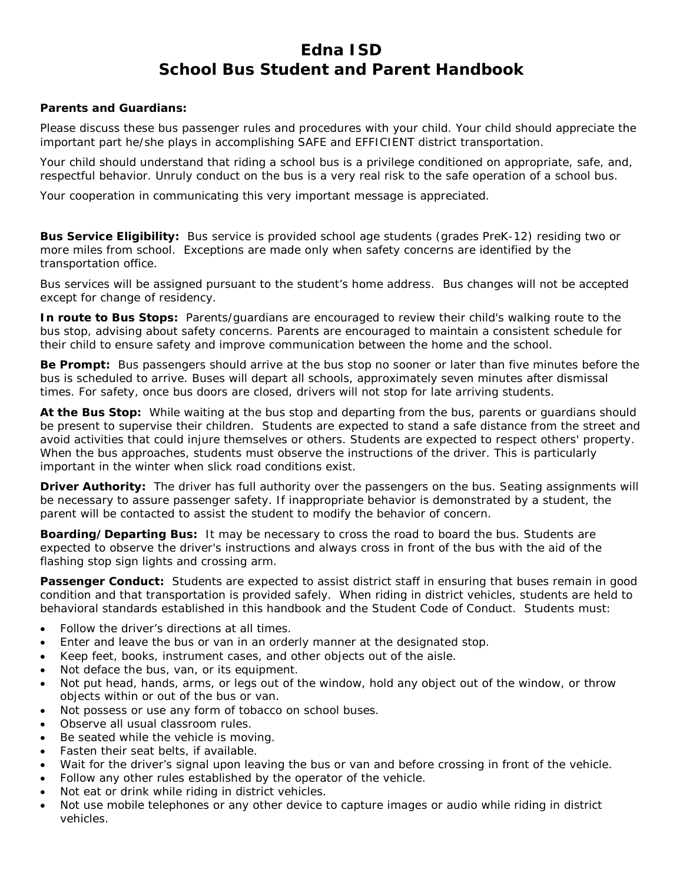# **Edna ISD School Bus Student and Parent Handbook**

### **Parents and Guardians:**

Please discuss these bus passenger rules and procedures with your child. Your child should appreciate the important part he/she plays in accomplishing SAFE and EFFICIENT district transportation.

Your child should understand that riding a school bus is a privilege conditioned on appropriate, safe, and, respectful behavior. Unruly conduct on the bus is a very real risk to the safe operation of a school bus.

Your cooperation in communicating this very important message is appreciated.

**Bus Service Eligibility:** Bus service is provided school age students (grades PreK-12) residing two or more miles from school. Exceptions are made only when safety concerns are identified by the transportation office.

Bus services will be assigned pursuant to the student's home address. Bus changes will not be accepted except for change of residency.

**In route to Bus Stops:** Parents/guardians are encouraged to review their child's walking route to the bus stop, advising about safety concerns. Parents are encouraged to maintain a consistent schedule for their child to ensure safety and improve communication between the home and the school.

**Be Prompt:** Bus passengers should arrive at the bus stop no sooner or later than five minutes before the bus is scheduled to arrive. Buses will depart all schools, approximately seven minutes after dismissal times. For safety, once bus doors are closed, drivers will not stop for late arriving students.

**At the Bus Stop:** While waiting at the bus stop and departing from the bus, parents or guardians should be present to supervise their children. Students are expected to stand a safe distance from the street and avoid activities that could injure themselves or others. Students are expected to respect others' property. When the bus approaches, students must observe the instructions of the driver. This is particularly important in the winter when slick road conditions exist.

**Driver Authority:** The driver has full authority over the passengers on the bus. Seating assignments will be necessary to assure passenger safety. If inappropriate behavior is demonstrated by a student, the parent will be contacted to assist the student to modify the behavior of concern.

**Boarding/Departing Bus:** It may be necessary to cross the road to board the bus. Students are expected to observe the driver's instructions and always cross in front of the bus with the aid of the flashing stop sign lights and crossing arm.

**Passenger Conduct:** Students are expected to assist district staff in ensuring that buses remain in good condition and that transportation is provided safely. When riding in district vehicles, students are held to behavioral standards established in this handbook and the Student Code of Conduct. Students must:

- Follow the driver's directions at all times.
- Enter and leave the bus or van in an orderly manner at the designated stop.
- Keep feet, books, instrument cases, and other objects out of the aisle.
- Not deface the bus, van, or its equipment.
- Not put head, hands, arms, or legs out of the window, hold any object out of the window, or throw objects within or out of the bus or van.
- Not possess or use any form of tobacco on school buses.
- Observe all usual classroom rules.
- Be seated while the vehicle is moving.
- Fasten their seat belts, if available.
- Wait for the driver's signal upon leaving the bus or van and before crossing in front of the vehicle.
- Follow any other rules established by the operator of the vehicle.
- Not eat or drink while riding in district vehicles.
- Not use mobile telephones or any other device to capture images or audio while riding in district vehicles.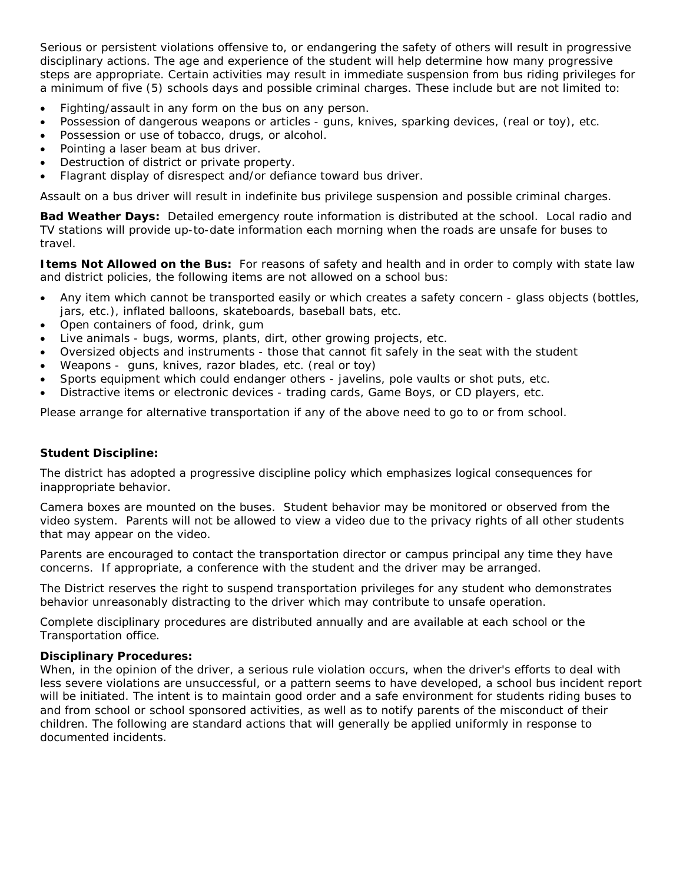Serious or persistent violations offensive to, or endangering the safety of others will result in progressive disciplinary actions. The age and experience of the student will help determine how many progressive steps are appropriate. Certain activities may result in immediate suspension from bus riding privileges for a minimum of five (5) schools days and possible criminal charges. These include but are not limited to:

- Fighting/assault in any form on the bus on any person.
- Possession of dangerous weapons or articles guns, knives, sparking devices, (real or toy), etc.
- Possession or use of tobacco, drugs, or alcohol.
- Pointing a laser beam at bus driver.
- Destruction of district or private property.
- Flagrant display of disrespect and/or defiance toward bus driver.

Assault on a bus driver will result in indefinite bus privilege suspension and possible criminal charges.

**Bad Weather Days:** Detailed emergency route information is distributed at the school. Local radio and TV stations will provide up-to-date information each morning when the roads are unsafe for buses to travel.

**Items Not Allowed on the Bus:** For reasons of safety and health and in order to comply with state law and district policies, the following items are not allowed on a school bus:

- Any item which cannot be transported easily or which creates a safety concern glass objects (bottles, jars, etc.), inflated balloons, skateboards, baseball bats, etc.
- Open containers of food, drink, gum
- Live animals bugs, worms, plants, dirt, other growing projects, etc.
- Oversized objects and instruments those that cannot fit safely in the seat with the student
- Weapons guns, knives, razor blades, etc. (real or toy)
- Sports equipment which could endanger others javelins, pole vaults or shot puts, etc.
- Distractive items or electronic devices trading cards, Game Boys, or CD players, etc.

Please arrange for alternative transportation if any of the above need to go to or from school.

### **Student Discipline:**

The district has adopted a progressive discipline policy which emphasizes logical consequences for inappropriate behavior.

Camera boxes are mounted on the buses. Student behavior may be monitored or observed from the video system. Parents will not be allowed to view a video due to the privacy rights of all other students that may appear on the video.

Parents are encouraged to contact the transportation director or campus principal any time they have concerns. If appropriate, a conference with the student and the driver may be arranged.

The District reserves the right to suspend transportation privileges for any student who demonstrates behavior unreasonably distracting to the driver which may contribute to unsafe operation.

Complete disciplinary procedures are distributed annually and are available at each school or the Transportation office.

### **Disciplinary Procedures:**

When, in the opinion of the driver, a serious rule violation occurs, when the driver's efforts to deal with less severe violations are unsuccessful, or a pattern seems to have developed, a school bus incident report will be initiated. The intent is to maintain good order and a safe environment for students riding buses to and from school or school sponsored activities, as well as to notify parents of the misconduct of their children. The following are standard actions that will generally be applied uniformly in response to documented incidents.